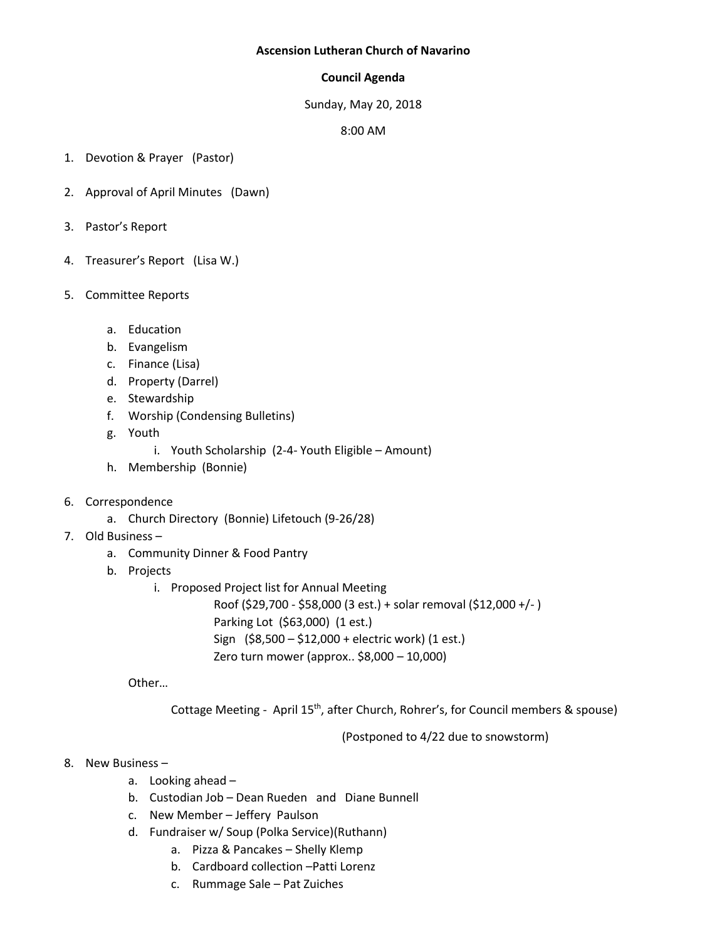## **Ascension Lutheran Church of Navarino**

## **Council Agenda**

Sunday, May 20, 2018

8:00 AM

- 1. Devotion & Prayer (Pastor)
- 2. Approval of April Minutes (Dawn)
- 3. Pastor's Report
- 4. Treasurer's Report (Lisa W.)
- 5. Committee Reports
	- a. Education
	- b. Evangelism
	- c. Finance (Lisa)
	- d. Property (Darrel)
	- e. Stewardship
	- f. Worship (Condensing Bulletins)
	- g. Youth
		- i. Youth Scholarship (2-4- Youth Eligible Amount)
	- h. Membership (Bonnie)
- 6. Correspondence
	- a. Church Directory (Bonnie) Lifetouch (9-26/28)
- 7. Old Business
	- a. Community Dinner & Food Pantry
	- b. Projects
		- i. Proposed Project list for Annual Meeting

Roof (\$29,700 - \$58,000 (3 est.) + solar removal (\$12,000 +/- ) Parking Lot (\$63,000) (1 est.) Sign (\$8,500 – \$12,000 + electric work) (1 est.) Zero turn mower (approx.. \$8,000 – 10,000)

Other…

Cottage Meeting - April 15<sup>th</sup>, after Church, Rohrer's, for Council members & spouse)

(Postponed to 4/22 due to snowstorm)

## 8. New Business –

- a. Looking ahead –
- b. Custodian Job Dean Rueden and Diane Bunnell
- c. New Member Jeffery Paulson
- d. Fundraiser w/ Soup (Polka Service)(Ruthann)
	- a. Pizza & Pancakes Shelly Klemp
	- b. Cardboard collection –Patti Lorenz
	- c. Rummage Sale Pat Zuiches